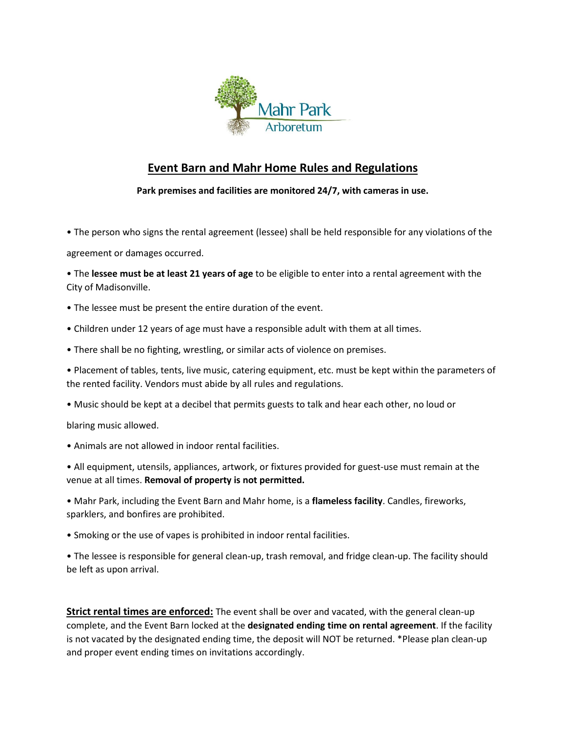

## **Event Barn and Mahr Home Rules and Regulations**

**Park premises and facilities are monitored 24/7, with cameras in use.**

• The person who signs the rental agreement (lessee) shall be held responsible for any violations of the

agreement or damages occurred.

• The **lessee must be at least 21 years of age** to be eligible to enter into a rental agreement with the City of Madisonville.

- The lessee must be present the entire duration of the event.
- Children under 12 years of age must have a responsible adult with them at all times.
- There shall be no fighting, wrestling, or similar acts of violence on premises.

• Placement of tables, tents, live music, catering equipment, etc. must be kept within the parameters of the rented facility. Vendors must abide by all rules and regulations.

• Music should be kept at a decibel that permits guests to talk and hear each other, no loud or

blaring music allowed.

• Animals are not allowed in indoor rental facilities.

• All equipment, utensils, appliances, artwork, or fixtures provided for guest-use must remain at the venue at all times. **Removal of property is not permitted.**

• Mahr Park, including the Event Barn and Mahr home, is a **flameless facility**. Candles, fireworks, sparklers, and bonfires are prohibited.

• Smoking or the use of vapes is prohibited in indoor rental facilities.

• The lessee is responsible for general clean-up, trash removal, and fridge clean-up. The facility should be left as upon arrival.

**Strict rental times are enforced:** The event shall be over and vacated, with the general clean-up complete, and the Event Barn locked at the **designated ending time on rental agreement**. If the facility is not vacated by the designated ending time, the deposit will NOT be returned. \*Please plan clean-up and proper event ending times on invitations accordingly.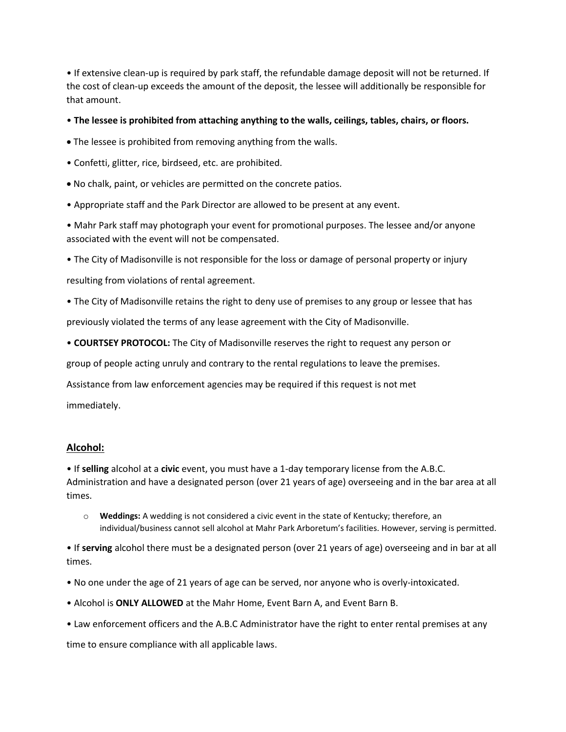• If extensive clean-up is required by park staff, the refundable damage deposit will not be returned. If the cost of clean-up exceeds the amount of the deposit, the lessee will additionally be responsible for that amount.

• **The lessee is prohibited from attaching anything to the walls, ceilings, tables, chairs, or floors.**

- The lessee is prohibited from removing anything from the walls.
- Confetti, glitter, rice, birdseed, etc. are prohibited.
- No chalk, paint, or vehicles are permitted on the concrete patios.
- Appropriate staff and the Park Director are allowed to be present at any event.

• Mahr Park staff may photograph your event for promotional purposes. The lessee and/or anyone associated with the event will not be compensated.

• The City of Madisonville is not responsible for the loss or damage of personal property or injury

resulting from violations of rental agreement.

• The City of Madisonville retains the right to deny use of premises to any group or lessee that has

previously violated the terms of any lease agreement with the City of Madisonville.

• **COURTSEY PROTOCOL:** The City of Madisonville reserves the right to request any person or

group of people acting unruly and contrary to the rental regulations to leave the premises.

Assistance from law enforcement agencies may be required if this request is not met

immediately.

## **Alcohol:**

• If **selling** alcohol at a **civic** event, you must have a 1-day temporary license from the A.B.C. Administration and have a designated person (over 21 years of age) overseeing and in the bar area at all times.

o **Weddings:** A wedding is not considered a civic event in the state of Kentucky; therefore, an individual/business cannot sell alcohol at Mahr Park Arboretum's facilities. However, serving is permitted.

• If **serving** alcohol there must be a designated person (over 21 years of age) overseeing and in bar at all times.

- No one under the age of 21 years of age can be served, nor anyone who is overly-intoxicated.
- Alcohol is **ONLY ALLOWED** at the Mahr Home, Event Barn A, and Event Barn B.
- Law enforcement officers and the A.B.C Administrator have the right to enter rental premises at any

time to ensure compliance with all applicable laws.